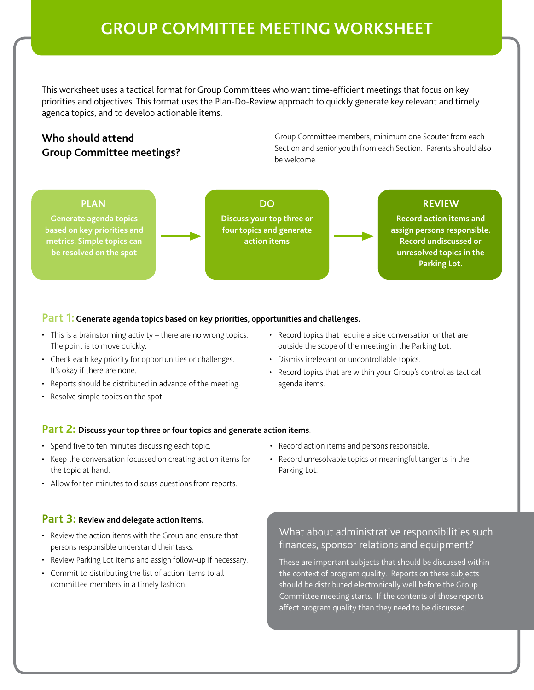# **GROUP COMMITTEE MEETING WORKSHEET**

This worksheet uses a tactical format for Group Committees who want time-efficient meetings that focus on key priorities and objectives. This format uses the Plan-Do-Review approach to quickly generate key relevant and timely agenda topics, and to develop actionable items.

# **Who should attend Group Committee meetings?**

Group Committee members, minimum one Scouter from each Section and senior youth from each Section. Parents should also be welcome.

**Generate agenda topics based on key priorities and metrics. Simple topics can be resolved on the spot**

**Discuss your top three or four topics and generate action items**

## **PLAN DO REVIEW**

**Record action items and assign persons responsible. Record undiscussed or unresolved topics in the Parking Lot.**

### **Part 1: Generate agenda topics based on key priorities, opportunities and challenges.**

- This is a brainstorming activity there are no wrong topics. The point is to move quickly.
- Check each key priority for opportunities or challenges. It's okay if there are none.
- Reports should be distributed in advance of the meeting.
- Resolve simple topics on the spot.
- Record topics that require a side conversation or that are outside the scope of the meeting in the Parking Lot.
- Dismiss irrelevant or uncontrollable topics.

• Record action items and persons responsible.

Parking Lot.

• Record topics that are within your Group's control as tactical agenda items.

#### **Part 2: Discuss your top three or four topics and generate action items**.

- Spend five to ten minutes discussing each topic.
- Keep the conversation focussed on creating action items for the topic at hand.
- Allow for ten minutes to discuss questions from reports.

### **Part 3: Review and delegate action items.**

- Review the action items with the Group and ensure that persons responsible understand their tasks.
- Review Parking Lot items and assign follow-up if necessary.
- Commit to distributing the list of action items to all committee members in a timely fashion.

• Record unresolvable topics or meaningful tangents in the

## What about administrative responsibilities such finances, sponsor relations and equipment?

These are important subjects that should be discussed within the context of program quality. Reports on these subjects should be distributed electronically well before the Group Committee meeting starts. If the contents of those reports affect program quality than they need to be discussed.